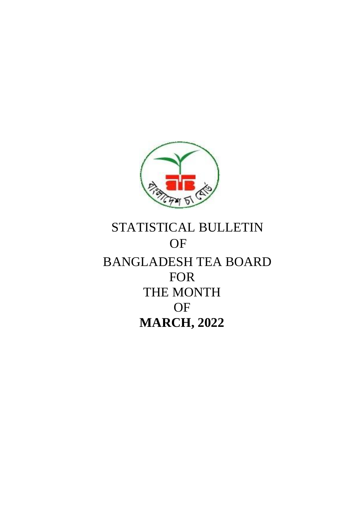

# STATISTICAL BULLETIN OF BANGLADESH TEA BOARD FOR THE MONTH **OF MARCH, 2022**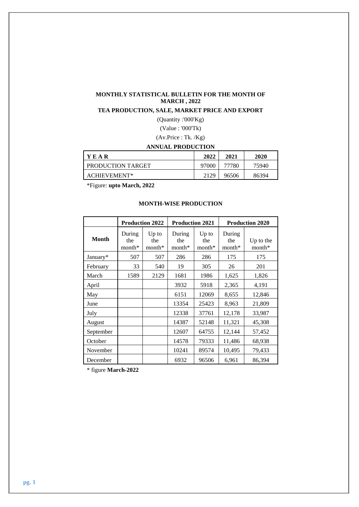## **MONTHLY STATISTICAL BULLETIN FOR THE MONTH OF MARCH , 2022**

## **TEA PRODUCTION, SALE, MARKET PRICE AND EXPORT**

(Quantity :'000'Kg)

(Value : '000'Tk)

(Av.Price : Tk. /Kg)

## **ANNUAL PRODUCTION**

| <b>YEAR</b>       | 2022  | 2021  | 2020  |
|-------------------|-------|-------|-------|
| PRODUCTION TARGET | 97000 | 77780 | 75940 |
| ACHIEVEMENT*      | 2129  | 96506 | 86394 |

\*Figure: **upto March, 2022**

## **MONTH-WISE PRODUCTION**

|              |                           | <b>Production 2022</b>     | <b>Production 2021</b>    |                          |                         | <b>Production 2020</b> |
|--------------|---------------------------|----------------------------|---------------------------|--------------------------|-------------------------|------------------------|
| <b>Month</b> | During<br>the<br>$month*$ | $Up$ to<br>the<br>$month*$ | During<br>the<br>$month*$ | $Up$ to<br>the<br>month* | During<br>the<br>month* | Up to the<br>$month*$  |
| January*     | 507                       | 507                        | 286                       | 286                      | 175                     | 175                    |
| February     | 33                        | 540                        | 19                        | 305                      | 26                      | 201                    |
| March        | 1589                      | 2129                       | 1681                      | 1986                     | 1,625                   | 1,826                  |
| April        |                           |                            | 3932                      | 5918                     | 2,365                   | 4,191                  |
| May          |                           |                            | 6151                      | 12069                    | 8,655                   | 12,846                 |
| June         |                           |                            | 13354                     | 25423                    | 8,963                   | 21,809                 |
| July         |                           |                            | 12338                     | 37761                    | 12,178                  | 33,987                 |
| August       |                           |                            | 14387                     | 52148                    | 11,321                  | 45,308                 |
| September    |                           |                            | 12607                     | 64755                    | 12,144                  | 57,452                 |
| October      |                           |                            | 14578                     | 79333                    | 11,486                  | 68,938                 |
| November     |                           |                            | 10241                     | 89574                    | 10,495                  | 79,433                 |
| December     |                           |                            | 6932                      | 96506                    | 6,961                   | 86,394                 |

\* figure **March-2022**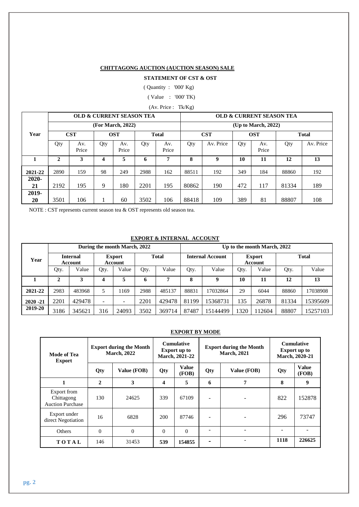## **CHITTAGONG AUCTION (AUCTION SEASON) SALE**

## **STATEMENT OF CST & OST**

( Quantity : '000' Kg)

( Value : '000' TK)

(Av. Price : Tk/Kg)

|          |              | <b>OLD &amp; CURRENT SEASON TEA</b> |                            |                   |      |              | <b>OLD &amp; CURRENT SEASON TEA</b> |                     |                            |              |       |           |  |
|----------|--------------|-------------------------------------|----------------------------|-------------------|------|--------------|-------------------------------------|---------------------|----------------------------|--------------|-------|-----------|--|
|          |              |                                     |                            | (For March, 2022) |      |              |                                     | (Up to March, 2022) |                            |              |       |           |  |
| Year     |              | <b>CST</b>                          | <b>OST</b><br><b>Total</b> |                   |      | <b>CST</b>   |                                     |                     | <b>OST</b><br><b>Total</b> |              |       |           |  |
|          | Qty          | Av.<br>Price                        | Qty                        | Av.<br>Price      | Qty  | Av.<br>Price | Qty                                 | Av. Price           | Qty                        | Av.<br>Price | Qty   | Av. Price |  |
| 1        | $\mathbf{2}$ | 3                                   | 4                          | 5                 | 6    | 7            | 8                                   | 9                   | 10                         | 11           | 12    | 13        |  |
| 2021-22  | 2890         | 159                                 | 98                         | 249               | 2988 | 162          | 88511                               | 192                 | 349                        | 184          | 88860 | 192       |  |
| $2020 -$ |              |                                     |                            |                   |      |              |                                     |                     |                            |              |       |           |  |
| 21       | 2192         | 195                                 | 9                          | 180               | 2201 | 195          | 80862                               | 190                 | 472                        | 117          | 81334 | 189       |  |
| 2019-    |              |                                     |                            |                   |      |              |                                     |                     |                            |              |       |           |  |
| 20       | 3501         | 106                                 |                            | 60                | 3502 | 106          | 88418                               | 109                 | 389                        | 81           | 88807 | 108       |  |

NOTE : CST represents current season tea & OST represents old season tea.

## **EXPORT & INTERNAL ACCOUNT**

|             |      |                            |      | During the month March, 2022 |              |        | Up to the month March, 2022 |          |                          |       |              |          |  |
|-------------|------|----------------------------|------|------------------------------|--------------|--------|-----------------------------|----------|--------------------------|-------|--------------|----------|--|
| Year        |      | <b>Internal</b><br>Account |      | <b>Export</b><br>Account     | <b>Total</b> |        | <b>Internal Account</b>     |          | <b>Export</b><br>Account |       | <b>Total</b> |          |  |
|             | Qty. | Value                      | Qty. | Value                        | Qty.         | Value  | Qty.                        | Value    | Qty.                     | Value | Qty.         | Value    |  |
|             | 2    | 3                          | 4    | 5                            | 6            |        | 8                           | 9        | 10                       | 11    | 12           | 13       |  |
| 2021-22     | 2983 | 483968                     |      | 169                          | 2988         | 485137 | 88831                       | 17032864 | 29                       | 6044  | 88860        | 17038908 |  |
| $2020 - 21$ | 2201 | 429478                     |      | $\overline{\phantom{a}}$     | 2201         | 429478 | 81199                       | 15368731 | 135                      | 26878 | 81334        | 15395609 |  |
| 2019-20     | 3186 | 345621                     | 316  | 24093                        | 3502         | 369714 | 87487                       | 15144499 | 1320                     | 12604 | 88807        | 15257103 |  |

## **EXPORT BY MODE**

| Mode of Tea<br><b>Export</b>                         |              | <b>Export during the Month</b><br><b>March</b> , 2022 | <b>Cumulative</b><br><b>Export up to</b><br><b>March, 2021-22</b> |                |                | <b>Export during the Month</b><br><b>March</b> , 2021 | <b>Cumulative</b><br><b>Export up to</b><br>March, 2020-21 |                       |
|------------------------------------------------------|--------------|-------------------------------------------------------|-------------------------------------------------------------------|----------------|----------------|-------------------------------------------------------|------------------------------------------------------------|-----------------------|
|                                                      | Qty          | Value (FOB)                                           | Qty                                                               | Value<br>(FOB) | Qty            | Value (FOB)                                           | Qty                                                        | <b>Value</b><br>(FOB) |
| 1                                                    | $\mathbf{2}$ | 3                                                     | 4                                                                 | 5              | 6              | 7                                                     | 8                                                          | 9                     |
| Export from<br>Chittagong<br><b>Auction Purchase</b> | 130          | 24625                                                 | 339                                                               | 67109          |                |                                                       | 822                                                        | 152878                |
| Export under<br>direct Negotiation                   | 16           | 6828                                                  | 200                                                               | 87746          |                |                                                       | 296                                                        | 73747                 |
| <b>Others</b>                                        | $\Omega$     | $\mathbf{0}$                                          | $\Omega$                                                          | $\Omega$       |                |                                                       |                                                            |                       |
| TOTAL<br>146                                         |              | 31453                                                 | 539                                                               | 154855         | $\blacksquare$ |                                                       | 1118                                                       | 226625                |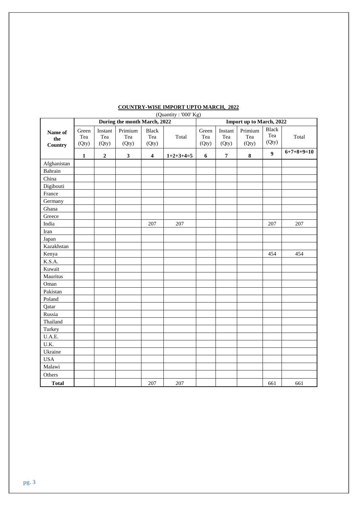| (Quantity: '000' Kg)             |                       |                         |                              |                              |                          |                       |                         |                         |                              |              |
|----------------------------------|-----------------------|-------------------------|------------------------------|------------------------------|--------------------------|-----------------------|-------------------------|-------------------------|------------------------------|--------------|
|                                  |                       |                         | During the month March, 2022 |                              | Import up to March, 2022 |                       |                         |                         |                              |              |
| Name of<br>the<br><b>Country</b> | Green<br>Tea<br>(Qty) | Instant<br>Tea<br>(Qty) | Primium<br>Tea<br>(Qty)      | <b>Black</b><br>Tea<br>(Qty) | Total                    | Green<br>Tea<br>(Qty) | Instant<br>Tea<br>(Qty) | Primium<br>Tea<br>(Qty) | <b>Black</b><br>Tea<br>(Qty) | Total        |
|                                  | $\mathbf{1}$          | $\mathbf 2$             | $\mathbf{3}$                 | $\overline{\mathbf{4}}$      | $1+2+3+4=5$              | 6                     | $\pmb{7}$               | $\bf 8$                 | $\boldsymbol{9}$             | $6+7+8+9=10$ |
| Afghanistan                      |                       |                         |                              |                              |                          |                       |                         |                         |                              |              |
| Bahrain                          |                       |                         |                              |                              |                          |                       |                         |                         |                              |              |
| China                            |                       |                         |                              |                              |                          |                       |                         |                         |                              |              |
| Digibouti                        |                       |                         |                              |                              |                          |                       |                         |                         |                              |              |
| France                           |                       |                         |                              |                              |                          |                       |                         |                         |                              |              |
| Germany                          |                       |                         |                              |                              |                          |                       |                         |                         |                              |              |
| Ghana                            |                       |                         |                              |                              |                          |                       |                         |                         |                              |              |
| Greece                           |                       |                         |                              |                              |                          |                       |                         |                         |                              |              |
| India                            |                       |                         |                              | 207                          | 207                      |                       |                         |                         | 207                          | 207          |
| Iran                             |                       |                         |                              |                              |                          |                       |                         |                         |                              |              |
| Japan                            |                       |                         |                              |                              |                          |                       |                         |                         |                              |              |
| Kazakhstan                       |                       |                         |                              |                              |                          |                       |                         |                         |                              |              |
| Kenya                            |                       |                         |                              |                              |                          |                       |                         |                         | 454                          | 454          |
| K.S.A.                           |                       |                         |                              |                              |                          |                       |                         |                         |                              |              |
| Kuwait                           |                       |                         |                              |                              |                          |                       |                         |                         |                              |              |
| Mauritus                         |                       |                         |                              |                              |                          |                       |                         |                         |                              |              |
| Oman                             |                       |                         |                              |                              |                          |                       |                         |                         |                              |              |
| Pakistan                         |                       |                         |                              |                              |                          |                       |                         |                         |                              |              |
| Poland                           |                       |                         |                              |                              |                          |                       |                         |                         |                              |              |
| Qatar                            |                       |                         |                              |                              |                          |                       |                         |                         |                              |              |
| Russia                           |                       |                         |                              |                              |                          |                       |                         |                         |                              |              |
| Thailand                         |                       |                         |                              |                              |                          |                       |                         |                         |                              |              |
| Turkey                           |                       |                         |                              |                              |                          |                       |                         |                         |                              |              |
| U.A.E.                           |                       |                         |                              |                              |                          |                       |                         |                         |                              |              |
| U.K.                             |                       |                         |                              |                              |                          |                       |                         |                         |                              |              |
| Ukraine                          |                       |                         |                              |                              |                          |                       |                         |                         |                              |              |
| <b>USA</b>                       |                       |                         |                              |                              |                          |                       |                         |                         |                              |              |
| Malawi                           |                       |                         |                              |                              |                          |                       |                         |                         |                              |              |
| Others                           |                       |                         |                              |                              |                          |                       |                         |                         |                              |              |
| <b>Total</b>                     |                       |                         |                              | 207                          | 207                      |                       |                         |                         | 661                          | 661          |

## **COUNTRY-WISE IMPORT UPTO MARCH, 2022**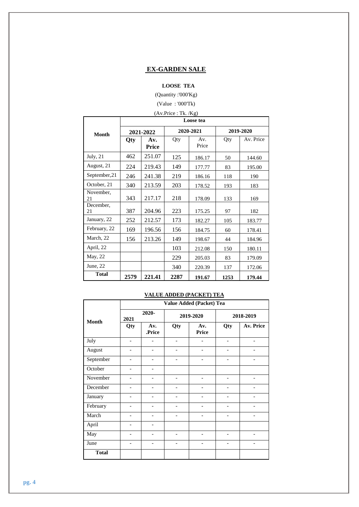## **EX-GARDEN SALE**

## **LOOSE TEA**

(Quantity :'000'Kg)

(Value : '000'Tk)

|                 |            |                                | (Av.Price : Tk. / Kg) |              |      |           |  |  |  |  |
|-----------------|------------|--------------------------------|-----------------------|--------------|------|-----------|--|--|--|--|
|                 |            |                                |                       | Loose tea    |      |           |  |  |  |  |
| Month           |            | 2021-2022                      |                       | 2020-2021    |      | 2019-2020 |  |  |  |  |
|                 | <b>Qty</b> | Av.<br>Price                   | Qty                   | Av.<br>Price | Qty  | Av. Price |  |  |  |  |
| July, 21        | 462        | 251.07                         | 125                   | 186.17       | 50   | 144.60    |  |  |  |  |
| August, 21      | 224        | 219.43                         | 149                   | 177.77       | 83   | 195.00    |  |  |  |  |
| September, 21   | 246        | 241.38                         | 219                   | 186.16       | 118  | 190       |  |  |  |  |
| October, 21     | 340        | 213.59                         | 203                   | 178.52       | 193  | 183       |  |  |  |  |
| November,<br>21 | 343        | 217.17                         | 218                   | 178.09       | 133  | 169       |  |  |  |  |
| December,<br>21 | 387        | 204.96                         | 223                   | 175.25       | 97   | 182       |  |  |  |  |
| January, 22     | 252        | 212.57                         | 173                   | 182.27       | 105  | 183.77    |  |  |  |  |
| February, 22    | 169        | 196.56                         | 156                   | 184.75       | 60   | 178.41    |  |  |  |  |
| March, 22       | 156        | 213.26                         | 149                   | 198.67       | 44   | 184.96    |  |  |  |  |
| April, 22       |            |                                | 103                   | 212.08       | 150  | 180.11    |  |  |  |  |
| May, 22         |            |                                | 229                   | 205.03       | 83   | 179.09    |  |  |  |  |
| June, 22        |            | 340<br>220.39<br>137<br>172.06 |                       |              |      |           |  |  |  |  |
| <b>Total</b>    | 2579       | 221.41                         | 2287                  | 191.67       | 1253 | 179.44    |  |  |  |  |

## **VALUE ADDED (PACKET) TEA**

|              |                   |               |                   | Value Added (Packet) Tea     |                              |                   |
|--------------|-------------------|---------------|-------------------|------------------------------|------------------------------|-------------------|
| <b>Month</b> | 2021              | 2020-         |                   | 2019-2020                    |                              | 2018-2019         |
|              | Qty               | Av.<br>.Price | Qty               | Av.<br>Price                 | Qty                          | Av. Price         |
| July         | $\qquad \qquad$   |               |                   |                              |                              |                   |
| August       | ۰                 |               |                   |                              |                              |                   |
| September    | $\overline{a}$    |               |                   |                              | $\overline{a}$               |                   |
| October      | $\overline{a}$    |               |                   |                              |                              |                   |
| November     | $\qquad \qquad -$ | ۰             | $\qquad \qquad -$ | $\qquad \qquad \blacksquare$ | $\qquad \qquad \blacksquare$ | $\qquad \qquad -$ |
| December     |                   |               |                   |                              |                              |                   |
| January      |                   |               |                   |                              |                              |                   |
| February     | $\qquad \qquad -$ |               |                   |                              | $\overline{a}$               | $\overline{a}$    |
| March        | $\qquad \qquad$   |               | $\overline{a}$    |                              |                              | $\qquad \qquad$   |
| April        | $\qquad \qquad -$ | -             |                   |                              |                              |                   |
| May          | $\overline{a}$    |               | $\overline{a}$    |                              |                              |                   |
| June         |                   |               | $\overline{a}$    |                              |                              |                   |
| <b>Total</b> |                   |               |                   |                              |                              |                   |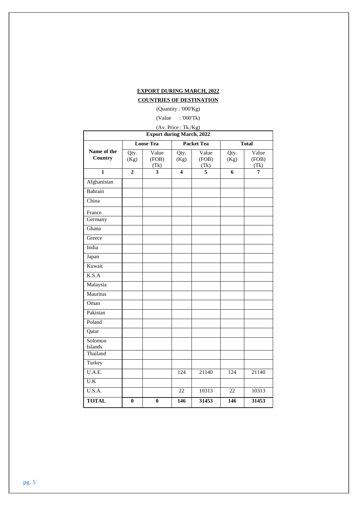| <b>EXPORT DURING MARCH, 2022</b> |  |
|----------------------------------|--|
|                                  |  |

## **COUNTRIES OF DESTINATION**

(Quantity : '000'Kg)

(Value : '000'Tk)

| (Av. Price: Tk./Kg)              |                |                        |              |                        |              |                        |  |  |  |  |  |
|----------------------------------|----------------|------------------------|--------------|------------------------|--------------|------------------------|--|--|--|--|--|
| <b>Export during March, 2022</b> |                |                        |              |                        |              |                        |  |  |  |  |  |
|                                  |                | <b>Loose Tea</b>       |              | <b>Packet Tea</b>      |              | <b>Total</b>           |  |  |  |  |  |
| Name of the<br>Country           | Qty.<br>(Kg)   | Value<br>(FOB)<br>(Tk) | Qty.<br>(Kg) | Value<br>(FOB)<br>(Tk) | Qty.<br>(Kg) | Value<br>(FOB)<br>(Tk) |  |  |  |  |  |
| $\mathbf{1}$                     | $\overline{2}$ | 3                      | 4            | $\overline{5}$         | 6            | 7                      |  |  |  |  |  |
| Afghanistan                      |                |                        |              |                        |              |                        |  |  |  |  |  |
| Bahrain                          |                |                        |              |                        |              |                        |  |  |  |  |  |
| China                            |                |                        |              |                        |              |                        |  |  |  |  |  |
| France                           |                |                        |              |                        |              |                        |  |  |  |  |  |
| Germany                          |                |                        |              |                        |              |                        |  |  |  |  |  |
| Ghana                            |                |                        |              |                        |              |                        |  |  |  |  |  |
| Greece                           |                |                        |              |                        |              |                        |  |  |  |  |  |
| India                            |                |                        |              |                        |              |                        |  |  |  |  |  |
| Japan                            |                |                        |              |                        |              |                        |  |  |  |  |  |
| Kuwait                           |                |                        |              |                        |              |                        |  |  |  |  |  |
| K.S.A                            |                |                        |              |                        |              |                        |  |  |  |  |  |
| Malaysia                         |                |                        |              |                        |              |                        |  |  |  |  |  |
| Mauritus                         |                |                        |              |                        |              |                        |  |  |  |  |  |
| Oman                             |                |                        |              |                        |              |                        |  |  |  |  |  |
| Pakistan                         |                |                        |              |                        |              |                        |  |  |  |  |  |
| Poland                           |                |                        |              |                        |              |                        |  |  |  |  |  |
| Qatar                            |                |                        |              |                        |              |                        |  |  |  |  |  |
| Solomon<br>Islands               |                |                        |              |                        |              |                        |  |  |  |  |  |
| Thailand                         |                |                        |              |                        |              |                        |  |  |  |  |  |
| Turkey                           |                |                        |              |                        |              |                        |  |  |  |  |  |
| U.A.E.                           |                |                        | 124          | 21140                  | 124          | 21140                  |  |  |  |  |  |
| $\overline{U.K}$                 |                |                        |              |                        |              |                        |  |  |  |  |  |
| U.S.A.                           |                |                        | 22           | 10313                  | 22           | 10313                  |  |  |  |  |  |
| <b>TOTAL</b>                     | $\bf{0}$       | $\bf{0}$               | 146          | 31453                  | 146          | 31453                  |  |  |  |  |  |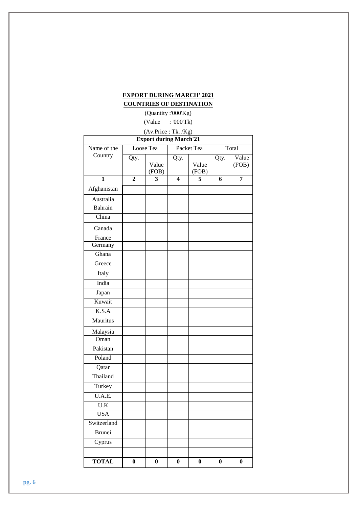## **EXPORT DURING MARCH' 2021**

## **COUNTRIES OF DESTINATION**

(Quantity :'000'Kg) (Value : '000'Tk)

|                                                                   |              | (Av.Price: Tk. /Kg) |                  |                |          |                |  |  |  |  |
|-------------------------------------------------------------------|--------------|---------------------|------------------|----------------|----------|----------------|--|--|--|--|
| <b>Export during March'21</b><br>Packet Tea<br>Loose Tea<br>Total |              |                     |                  |                |          |                |  |  |  |  |
| Name of the                                                       |              |                     |                  |                |          |                |  |  |  |  |
| Country                                                           | Qty.         | Value<br>(FOB)      | Qty.             | Value<br>(FOB) | Qty.     | Value<br>(FOB) |  |  |  |  |
| $\mathbf{1}$                                                      | $\mathbf{2}$ | 3                   | 4                | 5              | 6        | 7              |  |  |  |  |
| Afghanistan                                                       |              |                     |                  |                |          |                |  |  |  |  |
| Australia                                                         |              |                     |                  |                |          |                |  |  |  |  |
| Bahrain                                                           |              |                     |                  |                |          |                |  |  |  |  |
| China                                                             |              |                     |                  |                |          |                |  |  |  |  |
| Canada                                                            |              |                     |                  |                |          |                |  |  |  |  |
| France                                                            |              |                     |                  |                |          |                |  |  |  |  |
| Germany                                                           |              |                     |                  |                |          |                |  |  |  |  |
| Ghana                                                             |              |                     |                  |                |          |                |  |  |  |  |
| Greece                                                            |              |                     |                  |                |          |                |  |  |  |  |
| Italy                                                             |              |                     |                  |                |          |                |  |  |  |  |
| India                                                             |              |                     |                  |                |          |                |  |  |  |  |
| Japan                                                             |              |                     |                  |                |          |                |  |  |  |  |
| Kuwait                                                            |              |                     |                  |                |          |                |  |  |  |  |
| K.S.A                                                             |              |                     |                  |                |          |                |  |  |  |  |
| Mauritus                                                          |              |                     |                  |                |          |                |  |  |  |  |
| Malaysia                                                          |              |                     |                  |                |          |                |  |  |  |  |
| Oman                                                              |              |                     |                  |                |          |                |  |  |  |  |
| Pakistan                                                          |              |                     |                  |                |          |                |  |  |  |  |
| Poland                                                            |              |                     |                  |                |          |                |  |  |  |  |
| Qatar                                                             |              |                     |                  |                |          |                |  |  |  |  |
| Thailand                                                          |              |                     |                  |                |          |                |  |  |  |  |
| Turkey                                                            |              |                     |                  |                |          |                |  |  |  |  |
| U.A.E.                                                            |              |                     |                  |                |          |                |  |  |  |  |
| $\mathbf{U}.\mathbf{K}$                                           |              |                     |                  |                |          |                |  |  |  |  |
| <b>USA</b>                                                        |              |                     |                  |                |          |                |  |  |  |  |
| Switzerland                                                       |              |                     |                  |                |          |                |  |  |  |  |
| <b>Brunei</b>                                                     |              |                     |                  |                |          |                |  |  |  |  |
| Cyprus                                                            |              |                     |                  |                |          |                |  |  |  |  |
|                                                                   |              |                     |                  |                |          |                |  |  |  |  |
| <b>TOTAL</b>                                                      | $\bf{0}$     | $\bf{0}$            | $\boldsymbol{0}$ | $\bf{0}$       | $\bf{0}$ | $\bf{0}$       |  |  |  |  |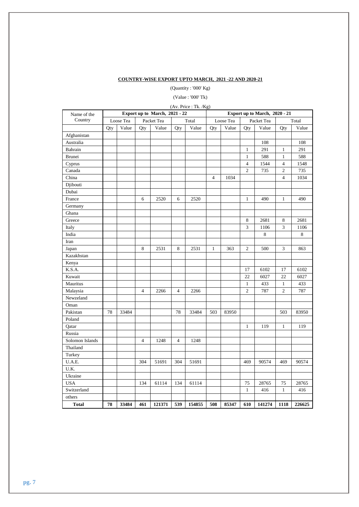### **COUNTRY-WISE EXPORT UPTO MARCH, 2021 -22 AND 2020-21**

(Quantity : '000' Kg)

(Value : '000' Tk)

| (Av. Price: Tk. / Kg)<br>Export up to March, 2021 - 22 |     |           |                |            |                |        |                               |           |                  |            |                         |        |  |
|--------------------------------------------------------|-----|-----------|----------------|------------|----------------|--------|-------------------------------|-----------|------------------|------------|-------------------------|--------|--|
| Name of the                                            |     |           |                |            |                |        | Export up to March, 2020 - 21 |           |                  |            |                         |        |  |
| Country                                                |     | Loose Tea |                | Packet Tea |                | Total  |                               | Loose Tea |                  | Packet Tea |                         | Total  |  |
|                                                        | Qty | Value     | Qty            | Value      | Qty            | Value  | Qty                           | Value     | Qty              | Value      | Qty                     | Value  |  |
| Afghanistan                                            |     |           |                |            |                |        |                               |           |                  |            |                         |        |  |
| Australia                                              |     |           |                |            |                |        |                               |           |                  | 108        |                         | 108    |  |
| Bahrain                                                |     |           |                |            |                |        |                               |           | $\mathbf{1}$     | 291        | $\mathbf{1}$            | 291    |  |
| Brunei                                                 |     |           |                |            |                |        |                               |           | $\mathbf{1}$     | 588        | $\mathbf{1}$            | 588    |  |
| Cyprus                                                 |     |           |                |            |                |        |                               |           | $\overline{4}$   | 1544       | $\overline{\mathbf{4}}$ | 1548   |  |
| Canada                                                 |     |           |                |            |                |        |                               |           | $\boldsymbol{2}$ | 735        | 2                       | 735    |  |
| China                                                  |     |           |                |            |                |        | $\overline{4}$                | 1034      |                  |            | $\overline{4}$          | 1034   |  |
| Djibouti                                               |     |           |                |            |                |        |                               |           |                  |            |                         |        |  |
| Dubai                                                  |     |           |                |            |                |        |                               |           |                  |            |                         |        |  |
| France                                                 |     |           | 6              | 2520       | 6              | 2520   |                               |           | $\mathbf{1}$     | 490        | $\mathbf{1}$            | 490    |  |
| Germany                                                |     |           |                |            |                |        |                               |           |                  |            |                         |        |  |
| Ghana                                                  |     |           |                |            |                |        |                               |           |                  |            |                         |        |  |
| Greece                                                 |     |           |                |            |                |        |                               |           | 8                | 2681       | 8                       | 2681   |  |
| Italy                                                  |     |           |                |            |                |        |                               |           | 3                | 1106       | 3                       | 1106   |  |
| India                                                  |     |           |                |            |                |        |                               |           |                  | 8          |                         | 8      |  |
| Iran                                                   |     |           |                |            |                |        |                               |           |                  |            |                         |        |  |
| Japan                                                  |     |           | 8              | 2531       | 8              | 2531   | $\mathbf{1}$                  | 363       | $\overline{c}$   | 500        | 3                       | 863    |  |
| Kazakhstan                                             |     |           |                |            |                |        |                               |           |                  |            |                         |        |  |
| Kenya                                                  |     |           |                |            |                |        |                               |           |                  |            |                         |        |  |
| K.S.A.                                                 |     |           |                |            |                |        |                               |           | 17               | 6102       | 17                      | 6102   |  |
| Kuwait                                                 |     |           |                |            |                |        |                               |           | 22               | 6027       | 22                      | 6027   |  |
| Mauritus                                               |     |           |                |            |                |        |                               |           | $\mathbf{1}$     | 433        | $\mathbf{1}$            | 433    |  |
| Malaysia                                               |     |           | 4              | 2266       | 4              | 2266   |                               |           | $\mathbf{2}$     | 787        | $\overline{c}$          | 787    |  |
| Newzeland                                              |     |           |                |            |                |        |                               |           |                  |            |                         |        |  |
| Oman                                                   |     |           |                |            |                |        |                               |           |                  |            |                         |        |  |
| Pakistan                                               | 78  | 33484     |                |            | 78             | 33484  | 503                           | 83950     |                  |            | 503                     | 83950  |  |
| Poland                                                 |     |           |                |            |                |        |                               |           |                  |            |                         |        |  |
| Qatar                                                  |     |           |                |            |                |        |                               |           | $\mathbf{1}$     | 119        | $\mathbf{1}$            | 119    |  |
| Russia                                                 |     |           |                |            |                |        |                               |           |                  |            |                         |        |  |
| Solomon Islands                                        |     |           | $\overline{4}$ | 1248       | $\overline{4}$ | 1248   |                               |           |                  |            |                         |        |  |
| Thailand                                               |     |           |                |            |                |        |                               |           |                  |            |                         |        |  |
| Turkey                                                 |     |           |                |            |                |        |                               |           |                  |            |                         |        |  |
| U.A.E.                                                 |     |           | 304            | 51691      | 304            | 51691  |                               |           | 469              | 90574      | 469                     | 90574  |  |
| U.K.                                                   |     |           |                |            |                |        |                               |           |                  |            |                         |        |  |
| Ukraine                                                |     |           |                |            |                |        |                               |           |                  |            |                         |        |  |
| <b>USA</b>                                             |     |           | 134            | 61114      | 134            | 61114  |                               |           | 75               | 28765      | 75                      | 28765  |  |
| Switzerland                                            |     |           |                |            |                |        |                               |           | $\mathbf{1}$     | 416        | $\mathbf{1}$            | 416    |  |
| others                                                 |     |           |                |            |                |        |                               |           |                  |            |                         |        |  |
| <b>Total</b>                                           | 78  | 33484     | 461            | 121371     | 539            | 154855 | 508                           | 85347     | 610              | 141274     | 1118                    | 226625 |  |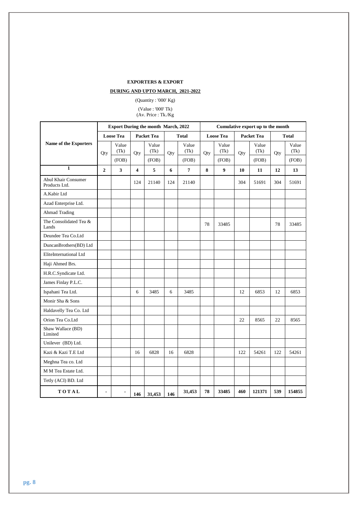## **EXPORTERS & EXPORT**

## **DURING AND UPTO MARCH, 2021-2022**

(Quantity : '000' Kg)

(Value : '000' Tk)

(Av. Price : Tk./Kg

|                                             | <b>Export During the month March, 2022</b> |                         |                         |               |     |                |                  | Cumulative export up to the month |                   |               |              |               |  |
|---------------------------------------------|--------------------------------------------|-------------------------|-------------------------|---------------|-----|----------------|------------------|-----------------------------------|-------------------|---------------|--------------|---------------|--|
| Name of the Exporters                       | <b>Loose Tea</b>                           |                         | <b>Packet Tea</b>       |               |     | <b>Total</b>   | <b>Loose Tea</b> |                                   | <b>Packet Tea</b> |               | <b>Total</b> |               |  |
|                                             | Qty                                        | Value<br>(Tk)           | Qty                     | Value<br>(Tk) | Qty | Value<br>(Tk)  | Qty              | Value<br>(Tk)                     | Qty               | Value<br>(Tk) | Qty          | Value<br>(Tk) |  |
|                                             |                                            | (FOB)                   |                         | (FOB)         |     | (FOB)          |                  | (FOB)                             |                   | (FOB)         |              | (FOB)         |  |
| $\mathbf{1}$                                | $\overline{2}$                             | $\overline{\mathbf{3}}$ | $\overline{\mathbf{4}}$ | 5             | 6   | $\overline{7}$ | 8                | $\boldsymbol{9}$                  | 10                | 11            | 12           | 13            |  |
| <b>Abul Khair Consumer</b><br>Products Ltd. |                                            |                         | 124                     | 21140         | 124 | 21140          |                  |                                   | 304               | 51691         | 304          | 51691         |  |
| A.Kabir Ltd                                 |                                            |                         |                         |               |     |                |                  |                                   |                   |               |              |               |  |
| Azad Enterprise Ltd.                        |                                            |                         |                         |               |     |                |                  |                                   |                   |               |              |               |  |
| <b>Ahmad Trading</b>                        |                                            |                         |                         |               |     |                |                  |                                   |                   |               |              |               |  |
| The Consolidated Tea &<br>Lands             |                                            |                         |                         |               |     |                | 78               | 33485                             |                   |               | 78           | 33485         |  |
| Deundee Tea Co.Ltd                          |                                            |                         |                         |               |     |                |                  |                                   |                   |               |              |               |  |
| DuncanBrothers(BD) Ltd                      |                                            |                         |                         |               |     |                |                  |                                   |                   |               |              |               |  |
| EliteInternational Ltd                      |                                            |                         |                         |               |     |                |                  |                                   |                   |               |              |               |  |
| Haji Ahmed Brs.                             |                                            |                         |                         |               |     |                |                  |                                   |                   |               |              |               |  |
| H.R.C.Syndicate Ltd.                        |                                            |                         |                         |               |     |                |                  |                                   |                   |               |              |               |  |
| James Finlay P.L.C.                         |                                            |                         |                         |               |     |                |                  |                                   |                   |               |              |               |  |
| Ispahani Tea Ltd.                           |                                            |                         | 6                       | 3485          | 6   | 3485           |                  |                                   | 12                | 6853          | 12           | 6853          |  |
| Monir Sha & Sons                            |                                            |                         |                         |               |     |                |                  |                                   |                   |               |              |               |  |
| Haldavelly Tea Co. Ltd                      |                                            |                         |                         |               |     |                |                  |                                   |                   |               |              |               |  |
| Orion Tea Co.Ltd                            |                                            |                         |                         |               |     |                |                  |                                   | 22                | 8565          | 22           | 8565          |  |
| Shaw Wallace (BD)<br>Limited                |                                            |                         |                         |               |     |                |                  |                                   |                   |               |              |               |  |
| Unilever (BD) Ltd.                          |                                            |                         |                         |               |     |                |                  |                                   |                   |               |              |               |  |
| Kazi & Kazi T.E Ltd                         |                                            |                         | 16                      | 6828          | 16  | 6828           |                  |                                   | 122               | 54261         | 122          | 54261         |  |
| Meghna Tea co. Ltd                          |                                            |                         |                         |               |     |                |                  |                                   |                   |               |              |               |  |
| M M Tea Estate Ltd.                         |                                            |                         |                         |               |     |                |                  |                                   |                   |               |              |               |  |
| Tetly (ACI) BD. Ltd                         |                                            |                         |                         |               |     |                |                  |                                   |                   |               |              |               |  |
| TOTAL                                       | $\blacksquare$                             |                         | 146                     | 31,453        | 146 | 31,453         | 78               | 33485                             | 460               | 121371        | 539          | 154855        |  |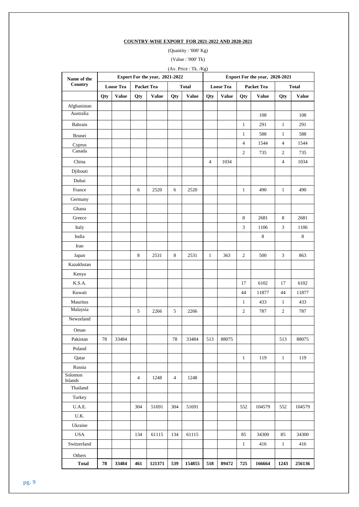## **COUNTRY-WISE EXPORT FOR 2021-2022 AND 2020-2021**

(Quantity : '000' Kg)

(Value : '000' Tk)

| (Av. Price: Tk. /Kg) |                  |              |                   |                                |         |              |                                |                  |                   |              |                |              |  |  |
|----------------------|------------------|--------------|-------------------|--------------------------------|---------|--------------|--------------------------------|------------------|-------------------|--------------|----------------|--------------|--|--|
| Name of the          |                  |              |                   | Export For the year, 2021-2022 |         |              | Export For the year, 2020-2021 |                  |                   |              |                |              |  |  |
| Country              | <b>Loose Tea</b> |              | <b>Packet Tea</b> |                                |         | <b>Total</b> |                                | <b>Loose Tea</b> | <b>Packet Tea</b> |              |                | <b>Total</b> |  |  |
|                      | Qty              | <b>Value</b> | Qty               | <b>Value</b>                   | Qty     | <b>Value</b> | Qty                            | <b>Value</b>     | Qty               | <b>Value</b> | Qty            | <b>Value</b> |  |  |
| Afghanistan          |                  |              |                   |                                |         |              |                                |                  |                   |              |                |              |  |  |
| Australia            |                  |              |                   |                                |         |              |                                |                  |                   | 108          |                | 108          |  |  |
| Bahrain              |                  |              |                   |                                |         |              |                                |                  | $\mathbf{1}$      | 291          | $\mathbf{1}$   | 291          |  |  |
| Brunei               |                  |              |                   |                                |         |              |                                |                  | $\mathbf{1}$      | 588          | $\mathbf{1}$   | 588          |  |  |
| Cyprus               |                  |              |                   |                                |         |              |                                |                  | $\overline{4}$    | 1544         | $\overline{4}$ | 1544         |  |  |
| Canada               |                  |              |                   |                                |         |              |                                |                  | $\mathfrak{2}$    | 735          | 2              | 735          |  |  |
| China                |                  |              |                   |                                |         |              | $\overline{4}$                 | 1034             |                   |              | $\overline{4}$ | 1034         |  |  |
| Djibouti             |                  |              |                   |                                |         |              |                                |                  |                   |              |                |              |  |  |
| Dubai                |                  |              |                   |                                |         |              |                                |                  |                   |              |                |              |  |  |
| France               |                  |              | $\sqrt{6}$        | 2520                           | 6       | 2520         |                                |                  | $\mathbf{1}$      | 490          | $\mathbf{1}$   | 490          |  |  |
| Germany              |                  |              |                   |                                |         |              |                                |                  |                   |              |                |              |  |  |
| Ghana                |                  |              |                   |                                |         |              |                                |                  |                   |              |                |              |  |  |
| Greece               |                  |              |                   |                                |         |              |                                |                  | 8                 | 2681         | 8              | 2681         |  |  |
| Italy                |                  |              |                   |                                |         |              |                                |                  | 3                 | 1106         | 3              | 1106         |  |  |
| India                |                  |              |                   |                                |         |              |                                |                  |                   | $\,8\,$      |                | 8            |  |  |
| Iran                 |                  |              |                   |                                |         |              |                                |                  |                   |              |                |              |  |  |
| Japan                |                  |              | 8                 | 2531                           | $\,8\,$ | 2531         | $\mathbf{1}$                   | 363              | $\overline{c}$    | 500          | $\mathfrak{Z}$ | 863          |  |  |
| Kazakhstan           |                  |              |                   |                                |         |              |                                |                  |                   |              |                |              |  |  |
| Kenya                |                  |              |                   |                                |         |              |                                |                  |                   |              |                |              |  |  |
| K.S.A.               |                  |              |                   |                                |         |              |                                |                  | 17                | 6102         | 17             | 6102         |  |  |
| Kuwait               |                  |              |                   |                                |         |              |                                |                  | 44                | 11877        | 44             | 11877        |  |  |
| Mauritus             |                  |              |                   |                                |         |              |                                |                  | $\mathbf{1}$      | 433          | $\mathbf{1}$   | 433          |  |  |
| Malaysia             |                  |              | 5                 | 2266                           | 5       | 2266         |                                |                  | $\mathfrak{2}$    | 787          | $\overline{c}$ | 787          |  |  |
| Newzeland            |                  |              |                   |                                |         |              |                                |                  |                   |              |                |              |  |  |
| Oman                 |                  |              |                   |                                |         |              |                                |                  |                   |              |                |              |  |  |
| Pakistan             | 78               | 33484        |                   |                                | 78      | 33484        | 513                            | 88075            |                   |              | 513            | 88075        |  |  |
| Poland               |                  |              |                   |                                |         |              |                                |                  |                   |              |                |              |  |  |
| Qatar                |                  |              |                   |                                |         |              |                                |                  | $\mathbf{1}$      | 119          | $\mathbf{1}$   | 119          |  |  |
| Russia               |                  |              |                   |                                |         |              |                                |                  |                   |              |                |              |  |  |
| Solomon<br>Islands   |                  |              | 4                 | 1248                           | 4       | 1248         |                                |                  |                   |              |                |              |  |  |
| Thailand             |                  |              |                   |                                |         |              |                                |                  |                   |              |                |              |  |  |
| Turkey               |                  |              |                   |                                |         |              |                                |                  |                   |              |                |              |  |  |
| U.A.E.               |                  |              | 304               | 51691                          | 304     | 51691        |                                |                  | 552               | 104579       | 552            | 104579       |  |  |
| U.K.                 |                  |              |                   |                                |         |              |                                |                  |                   |              |                |              |  |  |
| Ukraine              |                  |              |                   |                                |         |              |                                |                  |                   |              |                |              |  |  |
| <b>USA</b>           |                  |              | 134               | 61115                          | 134     | 61115        |                                |                  | 85                | 34300        | 85             | 34300        |  |  |
| Switzerland          |                  |              |                   |                                |         |              |                                |                  | $\mathbf{1}$      | 416          | $\mathbf{1}$   | 416          |  |  |
| Others               |                  |              |                   |                                |         |              |                                |                  |                   |              |                |              |  |  |
| <b>Total</b>         | 78               | 33484        | 461               | 121371                         | 539     | 154855       | 518                            | 89472            | 725               | 166664       | 1243           | 256136       |  |  |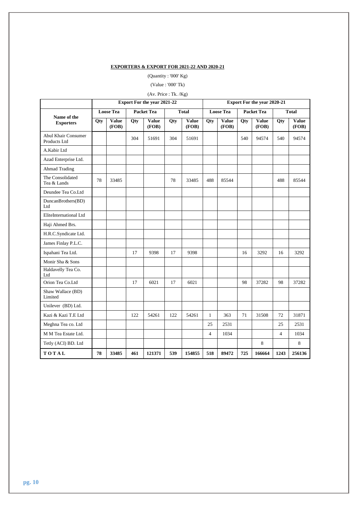## **EXPORTERS & EXPORT FOR 2021-22 AND 2020-21**

(Quantity : '000' Kg)

## (Value : '000' Tk)

## (Av. Price : Tk. /Kg)

|                                            | <b>Export For the year 2021-22</b> |                       |                   |                       |              |                       | <b>Export For the year 2020-21</b> |                       |                   |                       |                |                       |
|--------------------------------------------|------------------------------------|-----------------------|-------------------|-----------------------|--------------|-----------------------|------------------------------------|-----------------------|-------------------|-----------------------|----------------|-----------------------|
|                                            | <b>Loose Tea</b>                   |                       | <b>Packet Tea</b> |                       | <b>Total</b> |                       | <b>Loose Tea</b>                   |                       | <b>Packet Tea</b> |                       | <b>Total</b>   |                       |
| Name of the<br><b>Exporters</b>            | Qty                                | <b>Value</b><br>(FOB) | Qty               | <b>Value</b><br>(FOB) | Qty          | <b>Value</b><br>(FOB) | $\overline{Q}$ ty                  | <b>Value</b><br>(FOB) | Qty               | <b>Value</b><br>(FOB) | Qty            | <b>Value</b><br>(FOB) |
| <b>Abul Khair Consumer</b><br>Products Ltd |                                    |                       | 304               | 51691                 | 304          | 51691                 |                                    |                       | 540               | 94574                 | 540            | 94574                 |
| A.Kabir Ltd                                |                                    |                       |                   |                       |              |                       |                                    |                       |                   |                       |                |                       |
| Azad Enterprise Ltd.                       |                                    |                       |                   |                       |              |                       |                                    |                       |                   |                       |                |                       |
| Ahmad Trading                              |                                    |                       |                   |                       |              |                       |                                    |                       |                   |                       |                |                       |
| The Consolidated<br>Tea & Lands            | 78                                 | 33485                 |                   |                       | 78           | 33485                 | 488                                | 85544                 |                   |                       | 488            | 85544                 |
| Deundee Tea Co.Ltd                         |                                    |                       |                   |                       |              |                       |                                    |                       |                   |                       |                |                       |
| DuncanBrothers(BD)<br>Ltd                  |                                    |                       |                   |                       |              |                       |                                    |                       |                   |                       |                |                       |
| EliteInternational Ltd                     |                                    |                       |                   |                       |              |                       |                                    |                       |                   |                       |                |                       |
| Haji Ahmed Brs.                            |                                    |                       |                   |                       |              |                       |                                    |                       |                   |                       |                |                       |
| H.R.C.Syndicate Ltd.                       |                                    |                       |                   |                       |              |                       |                                    |                       |                   |                       |                |                       |
| James Finlay P.L.C.                        |                                    |                       |                   |                       |              |                       |                                    |                       |                   |                       |                |                       |
| Ispahani Tea Ltd.                          |                                    |                       | 17                | 9398                  | 17           | 9398                  |                                    |                       | 16                | 3292                  | 16             | 3292                  |
| Monir Sha & Sons                           |                                    |                       |                   |                       |              |                       |                                    |                       |                   |                       |                |                       |
| Haldavelly Tea Co.<br>Ltd                  |                                    |                       |                   |                       |              |                       |                                    |                       |                   |                       |                |                       |
| Orion Tea Co.Ltd                           |                                    |                       | 17                | 6021                  | 17           | 6021                  |                                    |                       | 98                | 37282                 | 98             | 37282                 |
| Shaw Wallace (BD)<br>Limited               |                                    |                       |                   |                       |              |                       |                                    |                       |                   |                       |                |                       |
| Unilever (BD) Ltd.                         |                                    |                       |                   |                       |              |                       |                                    |                       |                   |                       |                |                       |
| Kazi & Kazi T.E Ltd                        |                                    |                       | 122               | 54261                 | 122          | 54261                 | 1                                  | 363                   | 71                | 31508                 | 72             | 31871                 |
| Meghna Tea co. Ltd                         |                                    |                       |                   |                       |              |                       | 25                                 | 2531                  |                   |                       | 25             | 2531                  |
| M M Tea Estate Ltd.                        |                                    |                       |                   |                       |              |                       | $\overline{4}$                     | 1034                  |                   |                       | $\overline{4}$ | 1034                  |
| Tetly (ACI) BD. Ltd                        |                                    |                       |                   |                       |              |                       |                                    |                       |                   | 8                     |                | 8                     |
| TOTAL                                      | 78                                 | 33485                 | 461               | 121371                | 539          | 154855                | 518                                | 89472                 | 725               | 166664                | 1243           | 256136                |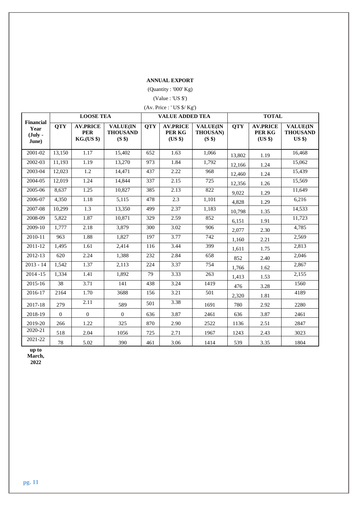## **ANNUAL EXPORT**

(Quantity : '000' Kg)

## (Value : 'US \$')

| (Av. Price: 'US \$/ Kg') |  |  |  |  |
|--------------------------|--|--|--|--|
|--------------------------|--|--|--|--|

|                                                         | <b>LOOSE TEA</b> |                                                    |                                              |            | <b>VALUE ADDED TEA</b>               |                                              | <b>TOTAL</b> |                                      |                                                |  |
|---------------------------------------------------------|------------------|----------------------------------------------------|----------------------------------------------|------------|--------------------------------------|----------------------------------------------|--------------|--------------------------------------|------------------------------------------------|--|
| <b>Financial</b><br>Year<br>$(\mathbf{July} -$<br>June) | <b>QTY</b>       | <b>AV.PRICE</b><br><b>PER</b><br><b>KG.(US \$)</b> | <b>VALUE(IN</b><br><b>THOUSAND</b><br>(S \$) | <b>QTY</b> | <b>AV.PRICE</b><br>PER KG<br>(US \$) | <b>VALUE(IN</b><br><b>THOUSAN)</b><br>(S \$) | <b>QTY</b>   | <b>AV.PRICE</b><br>PER KG<br>(US \$) | <b>VALUE(IN</b><br><b>THOUSAND</b><br>$US$ \$) |  |
| 2001-02                                                 | 13,150           | 1.17                                               | 15,402                                       | 652        | 1.63                                 | 1,066                                        | 13,802       | 1.19                                 | 16,468                                         |  |
| 2002-03                                                 | 11,193           | 1.19                                               | 13,270                                       | 973        | 1.84                                 | 1,792                                        | 12,166       | 1.24                                 | 15,062                                         |  |
| 2003-04                                                 | 12,023           | 1.2                                                | 14,471                                       | 437        | 2.22                                 | 968                                          | 12,460       | 1.24                                 | 15,439                                         |  |
| 2004-05                                                 | 12,019           | 1.24                                               | 14.844                                       | 337        | 2.15                                 | 725                                          | 12,356       | 1.26                                 | 15,569                                         |  |
| 2005-06                                                 | 8.637            | 1.25                                               | 10,827                                       | 385        | 2.13                                 | 822                                          | 9,022        | 1.29                                 | 11,649                                         |  |
| 2006-07                                                 | 4,350            | 1.18                                               | 5,115                                        | 478        | 2.3                                  | 1,101                                        | 4,828        | 1.29                                 | 6,216                                          |  |
| 2007-08                                                 | 10,299           | 1.3                                                | 13,350                                       | 499        | 2.37                                 | 1,183                                        | 10,798       | 1.35                                 | 14,533                                         |  |
| 2008-09                                                 | 5,822            | 1.87                                               | 10,871                                       | 329        | 2.59                                 | 852                                          | 6,151        | 1.91                                 | 11,723                                         |  |
| 2009-10                                                 | 1,777            | 2.18                                               | 3,879                                        | 300        | 3.02                                 | 906                                          | 2,077        | 2.30                                 | 4,785                                          |  |
| 2010-11                                                 | 963              | 1.88                                               | 1,827                                        | 197        | 3.77                                 | 742                                          | 1,160        | 2.21                                 | 2,569                                          |  |
| 2011-12                                                 | 1,495            | 1.61                                               | 2,414                                        | 116        | 3.44                                 | 399                                          | 1,611        | 1.75                                 | 2,813                                          |  |
| 2012-13                                                 | 620              | 2.24                                               | 1,388                                        | 232        | 2.84                                 | 658                                          | 852          | 2.40                                 | 2,046                                          |  |
| $2013 - 14$                                             | 1,542            | 1.37                                               | 2,113                                        | 224        | 3.37                                 | 754                                          | 1,766        | 1.62                                 | 2,867                                          |  |
| $2014 - 15$                                             | 1,334            | 1.41                                               | 1,892                                        | 79         | 3.33                                 | 263                                          | 1,413        | 1.53                                 | 2,155                                          |  |
| 2015-16                                                 | 38               | 3.71                                               | 141                                          | 438        | 3.24                                 | 1419                                         | 476          | 3.28                                 | 1560                                           |  |
| 2016-17                                                 | 2164             | 1.70                                               | 3688                                         | 156        | 3.21                                 | 501                                          | 2,320        | 1.81                                 | 4189                                           |  |
| 2017-18                                                 | 279              | 2.11                                               | 589                                          | 501        | 3.38                                 | 1691                                         | 780          | 2.92                                 | 2280                                           |  |
| 2018-19                                                 | $\boldsymbol{0}$ | $\overline{0}$                                     | $\boldsymbol{0}$                             | 636        | 3.87                                 | 2461                                         | 636          | 3.87                                 | 2461                                           |  |
| 2019-20                                                 | 266              | 1.22                                               | 325                                          | 870        | 2.90                                 | 2522                                         | 1136         | 2.51                                 | 2847                                           |  |
| 2020-21                                                 | 518              | 2.04                                               | 1056                                         | 725        | 2.71                                 | 1967                                         | 1243         | 2.43                                 | 3023                                           |  |
| 2021-22                                                 | $78\,$           | 5.02                                               | 390                                          | 461        | 3.06                                 | 1414                                         | 539          | 3.35                                 | 1804                                           |  |

**up to March,** 

**2022**